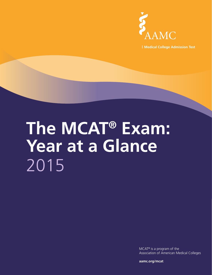

**Medical College Admission Test**

# **The MCAT® Exam: Year at a Glance** 2015

MCAT® is a program of the Association of American Medical Colleges

**aamc.org/mcat**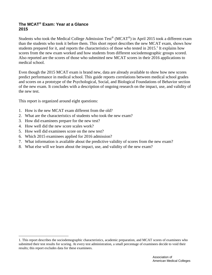## **The MCAT® Exam: Year at a Glance 2015**

Students who took the Medical College Admission Test<sup>®</sup> (MCAT<sup>®</sup>) in April 2015 took a different exam than the students who took it before them. This short report describes the new MCAT exam, shows how students prepared for it, and reports the characteristics of those who tested in  $2015$ .<sup>1</sup> It explains how scores from the new exam worked and how students from different sociodemographic groups scored. Also reported are the scores of those who submitted new MCAT scores in their 2016 applications to medical school.

Even though the 2015 MCAT exam is brand new, data are already available to show how new scores predict performance in medical school. This guide reports correlations between medical school grades and scores on a prototype of the Psychological, Social, and Biological Foundations of Behavior section of the new exam. It concludes with a description of ongoing research on the impact, use, and validity of the new test.

This report is organized around eight questions:

- 1. How is the new MCAT exam different from the old?
- 2. What are the characteristics of students who took the new exam?
- 3. How did examinees prepare for the new test?
- 4. How well did the new score scales work?

 $\overline{a}$ 

- 5. How well did examinees score on the new test?
- 6. Which 2015 examinees applied for 2016 admission?
- 7. What information is available about the predictive validity of scores from the new exam?
- 8. What else will we learn about the impact, use, and validity of the new exam?

<sup>1.</sup> This report describes the sociodemographic characteristics, academic preparation, and MCAT scores of examinees who submitted their test results for scoring. At every test administration, a small percentage of examinees decide to void their results; this report excludes data for these examinees.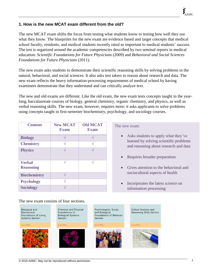## **1. How is the new MCAT exam different from the old?**

The new MCAT exam shifts the focus from testing what students know to testing how well they use what they know. The blueprints for the new exam are evidence based and target concepts that medical school faculty, residents, and medical students recently rated as important to medical students' success. The test is organized around the academic competencies described by two seminal reports in medical education: *Scientific Foundations for Future Physicians* (2009) and *Behavioral and Social Sciences Foundations for Future Physicians* (2011).

The new exam asks students to demonstrate their scientific reasoning skills by solving problems in the natural, behavioral, and social sciences. It also asks test takers to reason about research and data. The new exam reflects the heavy information-processing requirements of medical school by having examinees demonstrate that they understand and can critically analyze text.

The new and old exams are different. Like the old exam, the new exam tests concepts taught in the yearlong, baccalaureate courses of biology, general chemistry, organic chemistry, and physics, as well as verbal reasoning skills. The new exam, however, requires more: it asks applicants to solve problems using concepts taught in first-semester biochemistry, psychology, and sociology courses.

| <b>Content</b>                    | <b>New MCAT</b><br><b>Exam</b> | <b>Old MCAT</b><br><b>Exam</b> |
|-----------------------------------|--------------------------------|--------------------------------|
| <b>Biology</b>                    |                                |                                |
| <b>Chemistry</b>                  |                                |                                |
| <b>Physics</b>                    |                                |                                |
| <b>Verbal</b><br><b>Reasoning</b> |                                |                                |
| <b>Biochemistry</b>               |                                |                                |
| <b>Psychology</b>                 |                                |                                |
| <b>Sociology</b>                  |                                |                                |

## The new exam

- Asks students to apply what they've learned by solving scientific problems and reasoning about research and data
- Requires broader preparation
- Gives attention to the behavioral and sociocultural aspects of health
- Incorporates the latest science on information processing

**Biological and** Chemical and Physical Critical Analysis and Psychological, Social, Biochemical Foundations of and Biological Reasoning Skills Section Foundations of Living **Biological Systems** Foundations of Behavior **Systems Section** Section Section Learn More Learn Mor earn Mor

The new exam consists of four sections.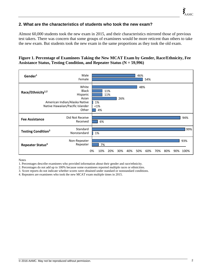## **2. What are the characteristics of students who took the new exam?**

Almost 60,000 students took the new exam in 2015, and their characteristics mirrored those of previous test takers. There was concern that some groups of examinees would be more reticent than others to take the new exam. But students took the new exam in the same proportions as they took the old exam.

## **Figure 1. Percentage of Examinees Taking the New MCAT Exam by Gender, Race/Ethnicity, Fee Assistance Status, Testing Condition, and Repeater Status (N = 59,996)**

| Gender <sup>1</sup>                  | Male<br>Female                                                                                                           |    |                 |            |     |     | 46% | 54% |     |     |     |             |
|--------------------------------------|--------------------------------------------------------------------------------------------------------------------------|----|-----------------|------------|-----|-----|-----|-----|-----|-----|-----|-------------|
| Race/Ethnicity <sup>1,2</sup>        | White<br><b>Black</b><br>Hispanic<br>Asian<br>American Indian/Alaska Native<br>Native Hawaiian/Pacific Islander<br>Other |    | 1%<br><1%<br>4% | 11%<br>11% | 26% |     | 48% |     |     |     |     |             |
| <b>Fee Assistance</b>                | Did Not Receive<br>Received                                                                                              |    | 6%              |            |     |     |     |     |     |     |     | 94%         |
| <b>Testing Condition<sup>3</sup></b> | Standard<br>Nonstandard                                                                                                  |    | 1%              |            |     |     |     |     |     |     |     | 99%         |
| Repeater Status <sup>4</sup>         | Non-Repeater<br>Repeater                                                                                                 | 0% | 7%<br>10%       | 20%        | 30% | 40% | 50% | 60% | 70% | 80% | 90% | 93%<br>100% |

Notes

1. Percentages describe examinees who provided information about their gender and race/ethnicity.

2. Percentages do not add up to 100% because some examinees reported multiple races or ethnicities.

3. Score reports do not indicate whether scores were obtained under standard or nonstandard conditions.

4. Repeaters are examinees who took the new MCAT exam multiple times in 2015.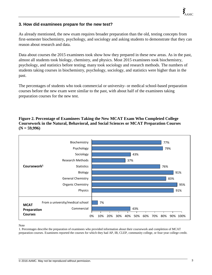## **3. How did examinees prepare for the new test?**

As already mentioned, the new exam requires broader preparation than the old, testing concepts from first-semester biochemistry, psychology, and sociology and asking students to demonstrate that they can reason about research and data.

Data about courses the 2015 examinees took show how they prepared in these new areas. As in the past, almost all students took biology, chemistry, and physics. Most 2015 examinees took biochemistry, psychology, and statistics before testing; many took sociology and research methods. The numbers of students taking courses in biochemistry, psychology, sociology, and statistics were higher than in the past.

The percentages of students who took commercial or university- or medical school-based preparation courses before the new exam were similar to the past, with about half of the examinees taking preparation courses for the new test.

## **Figure 2. Percentage of Examinees Taking the New MCAT Exam Who Completed College Coursework in the Natural, Behavioral, and Social Sciences or MCAT Preparation Courses (N = 59,996)**



### Note

1. Percentages describe the preparation of examinees who provided information about their coursework and completion of MCAT preparation courses. Examinees reported the courses for which they had AP, IB, CLEP, community college, or four-year college credit.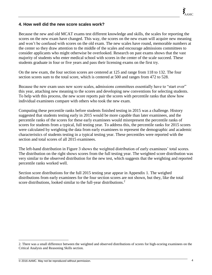## **4. How well did the new score scales work?**

Because the new and old MCAT exams test different knowledge and skills, the scales for reporting the scores on the new exam have changed. This way, the scores on the new exam will acquire new meaning and won't be confused with scores on the old exam. The new scales have round, memorable numbers at the center so they draw attention to the middle of the scales and encourage admissions committees to consider applicants who might otherwise be overlooked. Research on past exams shows that the vast majority of students who enter medical school with scores in the center of the scale succeed. These students graduate in four or five years and pass their licensing exams on the first try.

On the new exam, the four section scores are centered at 125 and range from 118 to 132. The four section scores sum to the total score, which is centered at 500 and ranges from 472 to 528.

Because the new exam uses new score scales, admissions committees essentially have to "start over" this year, attaching new meaning to the scores and developing new conventions for selecting students. To help with this process, the new score reports pair the scores with percentile ranks that show how individual examinees compare with others who took the new exam.

Computing these percentile ranks before students finished testing in 2015 was a challenge. History suggested that students testing early in 2015 would be more capable than later examinees, and the percentile ranks of the scores for these early examinees would misrepresent the percentile ranks of scores for students from a typical, full testing year. To address this, the percentile ranks for 2015 scores were calculated by weighting the data from early examinees to represent the demographic and academic characteristics of students testing in a typical testing year. These percentiles were reported with the section and total scores of all 2015 examinees.

The left-hand distribution in Figure 3 shows the weighted distribution of early examinees' total scores. The distribution on the right shows scores from the full testing year. The weighted score distribution was very similar to the observed distribution for the new test, which suggests that the weighting and reported percentile ranks worked well.

Section score distributions for the full 2015 testing year appear in Appendix 1. The weighed distributions from early examinees for the four section scores are not shown, but they, like the total score distributions, looked similar to the full-year distributions.<sup>2</sup>

 $\overline{a}$ 

<sup>2.</sup> There was a small difference between the weighted and observed distributions of scores for high-scoring examinees on the Critical Analysis and Reasoning Skills section.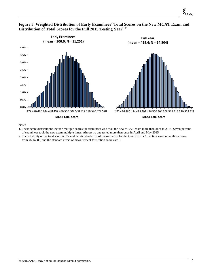

## **Figure 3. Weighted Distribution of Early Examinees' Total Scores on the New MCAT Exam and Distribution of Total Scores for the Full 2015 Testing Year1, <sup>2</sup>**

Notes

- 1. These score distributions include multiple scores for examinees who took the new MCAT exam more than once in 2015. Seven percent of examinees took the new exam multiple times. Almost no one tested more than once in April and May 2015.
- 2. The reliability of the total score is .95, and the standard error of measurement for the total score is 2. Section score reliabilities range from .82 to .86, and the standard errors of measurement for section scores are 1.

E AAMC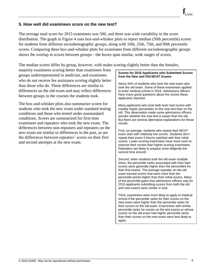## **5. How well did examinees score on the new test?**

The average total score for 2015 examinees was 500, and there was wide variability in the score distribution. The graph in Figure 4 uses box-and-whisker plots to report median (50th percentile) scores for students from different sociodemographic groups, along with 10th, 25th, 75th, and 90th percentile scores. Comparing these box-and-whisker plots for examinees from different sociodemographic groups shows the overlap in scores between groups—the boxes span similar, wide ranges of scores.

The median scores differ by group, however, with males scoring slightly better than the females,

majority examinees scoring better than examinees from groups underrepresented in medicine, and examinees who do not receive fee assistance scoring slightly better than those who do. These differences are similar to differences on the old exam and may reflect differences between groups in the courses the students took.

The box-and-whisker plots also summarize scores for students who took the new exam under standard testing conditions and those who tested under nonstandard conditions. Scores are summarized for first-time examinees and repeaters who took the new exam. The differences between non-repeaters and repeaters on the new exam are similar to differences in the past, as are the differences between repeaters' scores on their first and second attempts at the new exam.

#### **Scores for 2016 Applicants who Submitted Scores from the New and Old MCAT Exams**

About 34% of students who took the new exam also took the old exam. Some of these examinees applied to enter medical school in 2016. Admissions officers have many good questions about the scores these applicants reported.

Many applicants who took both tests had scores with notably higher percentiles on the new test than on the old. This observation made some admissions officers wonder whether the new test is easier than the old. But there are several alternative explanations for these results.

First, on average, students who repeat their MCAT exam start with relatively low scores. Students don't repeat their exam if they're satisfied with their initial scores. Lower-scoring examinees have more room to improve their scores than higher-scoring examinees. Repeaters are likely to prepare more diligently the second time around.

Second, when students took the old exam multiple times, the percentile ranks associated with their later scores were generally higher than the percentiles for their first exams. The average repeater on the old exam earned scores that were more than ten percentile points higher than their initial scores. Many of the percentile gains that admissions officers saw for 2016 applicants submitting scores from both the old and new exams were similar in size.

Third, examinees were more likely to apply to medical school if the percentile ranks for their scores on the new exam were higher than the percentile ranks for their scores on the old exam. Examinees with similar percentile ranks for scores on the two exams or whose scores on the old exam had higher percentile ranks than their scores on the new exam were less likely to apply.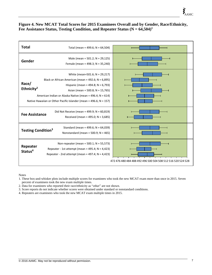## **Figure 4. New MCAT Total Scores for 2015 Examinees Overall and by Gender, Race/Ethnicity,**  Fee Assistance Status, Testing Condition, and Repeater Status  $(N = 64,504)^1$

| Total                           | Total (mean = 499.6; N = 64,504)                                                                                                                                                                                                                                                                                      |                                                             |
|---------------------------------|-----------------------------------------------------------------------------------------------------------------------------------------------------------------------------------------------------------------------------------------------------------------------------------------------------------------------|-------------------------------------------------------------|
| Gender                          | Male (mean = $501.2$ ; N = 29,125)<br>Female (mean = 498.3; N = 35,240)                                                                                                                                                                                                                                               |                                                             |
| Race/<br>Ethnicity <sup>2</sup> | White (mean=501.6; $N = 29,217$ )<br>Black or African American (mean = $492.6$ ; N = $6,895$ )<br>Hispanic (mean = $494.8$ ; N = 6,793)<br>Asian (mean = 500.8; N = 15,765)<br>American Indian or Alaska Native (mean = 496.4; $N = 614$ )<br>Native Hawaiian or Other Pacific Islander (mean = $496.6$ ; N = $157$ ) |                                                             |
| <b>Fee Assistance</b>           | Did Not Receive (mean = 499.9; $N = 60,819$ )<br>Received (mean = $495.0$ ; N = $3,685$ )                                                                                                                                                                                                                             |                                                             |
| Testing Condition <sup>3</sup>  | Standard (mean = $499.6$ ; N = $64,039$ )<br>Nonstandard (mean = 500.9; $N = 465$ )                                                                                                                                                                                                                                   |                                                             |
| Repeater<br>Status <sup>4</sup> | Non-repeater (mean = 500.1; N = 55,573)<br>Repeater - 1st attempt (mean = 495.4; $N = 4,423$ )<br>Repeater - 2nd attempt (mean = 497.4; $N = 4,423$ )                                                                                                                                                                 | 472 476 480 484 488 492 496 500 504 508 512 516 520 524 528 |

Notes

percent of examinees took the new exam multiple times. 2. Data for examinees who reported their race/ethnicity as "other" are not shown.

3. Score reports do not indicate whether scores were obtained under standard or nonstandard conditions.

4. Repeaters are examinees who took the new MCAT exam multiple times in 2015.

<sup>1.</sup> These box-and-whisker plots include multiple scores for examinees who took the new MCAT exam more than once in 2015. Seven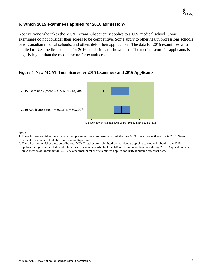## **6. Which 2015 examinees applied for 2016 admission?**

Not everyone who takes the MCAT exam subsequently applies to a U.S. medical school. Some examinees do not consider their scores to be competitive. Some apply to other health professions schools or to Canadian medical schools, and others defer their applications. The data for 2015 examinees who applied to U.S. medical schools for 2016 admission are shown next. The median score for applicants is slightly higher than the median score for examinees.

## **Figure 5. New MCAT Total Scores for 2015 Examinees and 2016 Applicants**



Notes

- 1. These box-and-whisker plots include multiple scores for examinees who took the new MCAT exam more than once in 2015. Seven percent of examinees took the new exam multiple times.
- 2. These box-and-whisker plots describe new MCAT total scores submitted by individuals applying to medical school in the 2016 application cycle and include multiple scores for examinees who took the MCAT exam more than once during 2015. Application data are current as of December 31, 2015. A very small number of examinees applied for 2016 admission after that date.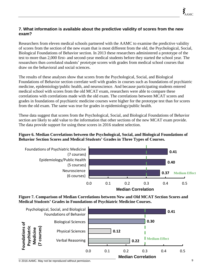## **7. What information is available about the predictive validity of scores from the new exam?**

Researchers from eleven medical schools partnered with the AAMC to examine the predictive validity of scores from the section of the new exam that is most different from the old, the Psychological, Social, Biological Foundations of Behavior section. In 2013 these researchers administered a prototype of the test to more than 2,000 first- and second-year medical students before they started the school year. The researchers then correlated students' prototype scores with grades from medical school courses that draw on the behavioral and social sciences.

The results of these analyses show that scores from the Psychological, Social, and Biological Foundations of Behavior section correlate well with grades in courses such as foundations of psychiatric medicine, epidemiology/public health, and neuroscience. And because participating students entered medical school with scores from the old MCAT exam, researchers were able to compare these correlations with correlations made with the old exam. The correlations between MCAT scores and grades in foundations of psychiatric medicine courses were higher for the prototype test than for scores from the old exam. The same was true for grades in epidemiology/public health.

These data suggest that scores from the Psychological, Social, and Biological Foundations of Behavior section are likely to add value to the information that other sections of the new MCAT exam provide. The data provide support for using these scores in 2016 student selection.

## **Figure 6. Median Correlations between the Psychological, Social, and Biological Foundations of Behavior Section Scores and Medical Students' Grades in Three Types of Courses.**







© 2016 AAMC. May not be reproduced without permission. 9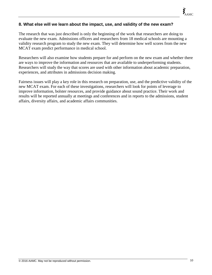## **8. What else will we learn about the impact, use, and validity of the new exam?**

The research that was just described is only the beginning of the work that researchers are doing to evaluate the new exam. Admissions officers and researchers from 18 medical schools are mounting a validity research program to study the new exam. They will determine how well scores from the new MCAT exam predict performance in medical school.

Researchers will also examine how students prepare for and perform on the new exam and whether there are ways to improve the information and resources that are available to underperforming students. Researchers will study the way that scores are used with other information about academic preparation, experiences, and attributes in admissions decision making.

Fairness issues will play a key role in this research on preparation, use, and the predictive validity of the new MCAT exam. For each of these investigations, researchers will look for points of leverage to improve information, bolster resources, and provide guidance about sound practice. Their work and results will be reported annually at meetings and conferences and in reports to the admissions, student affairs, diversity affairs, and academic affairs communities.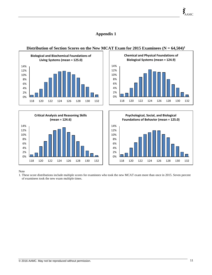## **Appendix 1**



## 0% 2% 4% 6% 8% 10% 12% 14% 118 120 122 124 126 128 130 132 **Critical Analysis and Reasoning Skills (mean = 124.6)**





Note

1. These score distributions include multiple scores for examinees who took the new MCAT exam more than once in 2015. Seven percent of examinees took the new exam multiple times.